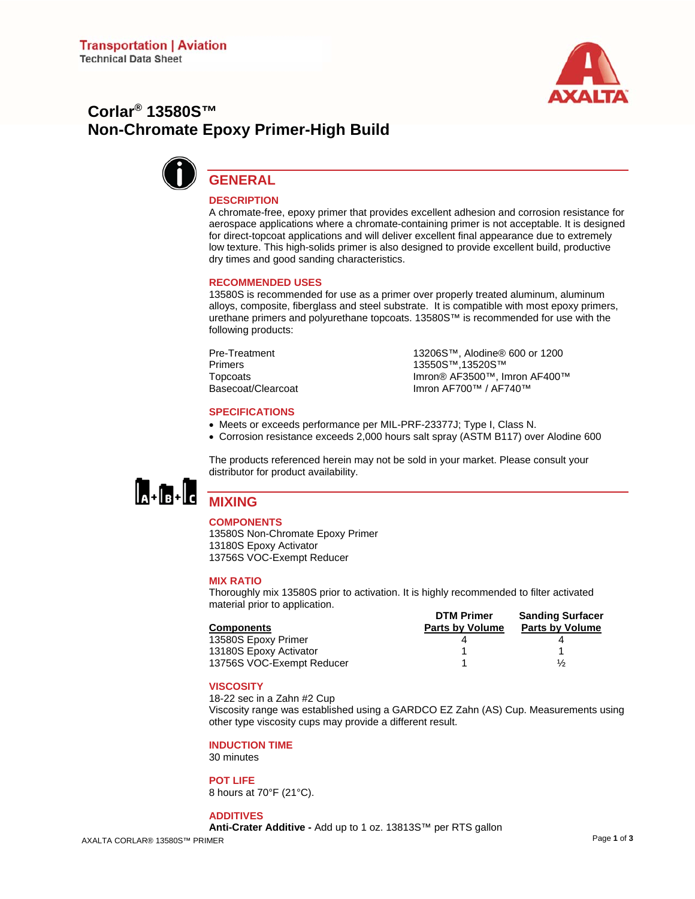

# **Corlar® 13580S™ Non-Chromate Epoxy Primer-High Build**



# **GENERAL**

# **DESCRIPTION**

A chromate-free, epoxy primer that provides excellent adhesion and corrosion resistance for aerospace applications where a chromate-containing primer is not acceptable. It is designed for direct-topcoat applications and will deliver excellent final appearance due to extremely low texture. This high-solids primer is also designed to provide excellent build, productive dry times and good sanding characteristics.

#### **RECOMMENDED USES**

13580S is recommended for use as a primer over properly treated aluminum, aluminum alloys, composite, fiberglass and steel substrate. It is compatible with most epoxy primers, urethane primers and polyurethane topcoats. 13580S™ is recommended for use with the following products:

Pre-Treatment 13206S™, Alodine® 600 or 1200 Primers 13550S™,13520S™ Topcoats Imron® AF3500™, Imron AF400™<br>Basecoat/Clearcoat Imron AF700™ / AF740™ Imron AF700™ / AF740™

#### **SPECIFICATIONS**

- Meets or exceeds performance per MIL-PRF-23377J; Type I, Class N.
- Corrosion resistance exceeds 2,000 hours salt spray (ASTM B117) over Alodine 600

The products referenced herein may not be sold in your market. Please consult your distributor for product availability.



# **MIXING**

# **COMPONENTS**

13580S Non-Chromate Epoxy Primer 13180S Epoxy Activator 13756S VOC-Exempt Reducer

#### **MIX RATIO**

Thoroughly mix 13580S prior to activation. It is highly recommended to filter activated material prior to application.

|                           | <b>DTM Primer</b>      | <b>Sanding Surfacer</b> |
|---------------------------|------------------------|-------------------------|
| <b>Components</b>         | <b>Parts by Volume</b> | <b>Parts by Volume</b>  |
| 13580S Epoxy Primer       |                        |                         |
| 13180S Epoxy Activator    |                        |                         |
| 13756S VOC-Exempt Reducer |                        | $\frac{1}{2}$           |

#### **VISCOSITY**

18-22 sec in a Zahn #2 Cup

Viscosity range was established using a GARDCO EZ Zahn (AS) Cup. Measurements using other type viscosity cups may provide a different result.

#### **INDUCTION TIME**

30 minutes

# **POT LIFE**

8 hours at 70°F (21°C).

#### **ADDITIVES**

**Anti-Crater Additive -** Add up to 1 oz. 13813S™ per RTS gallon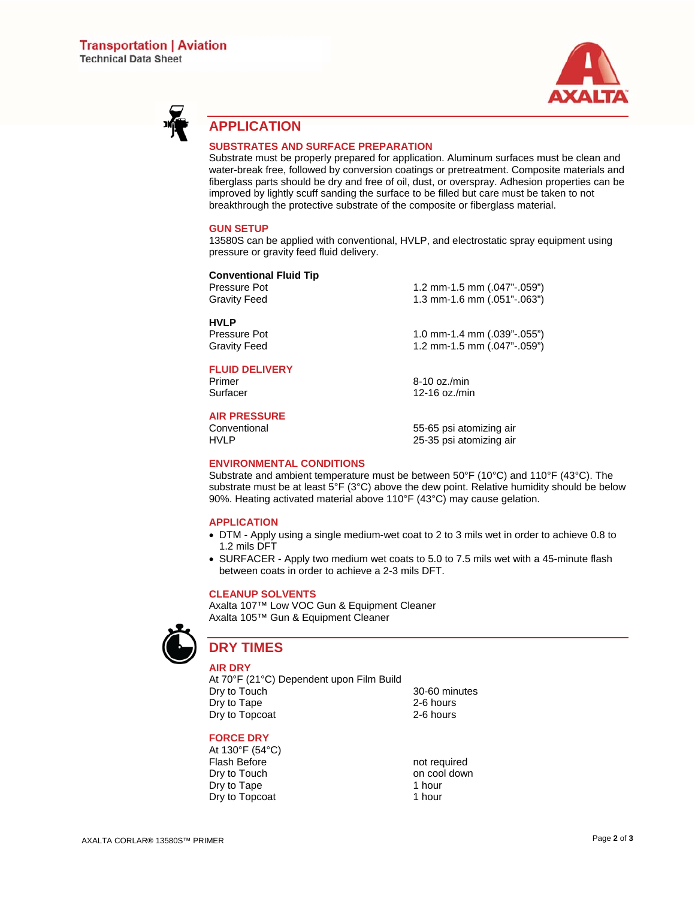



# **APPLICATION**

## **SUBSTRATES AND SURFACE PREPARATION**

Substrate must be properly prepared for application. Aluminum surfaces must be clean and water-break free, followed by conversion coatings or pretreatment. Composite materials and fiberglass parts should be dry and free of oil, dust, or overspray. Adhesion properties can be improved by lightly scuff sanding the surface to be filled but care must be taken to not breakthrough the protective substrate of the composite or fiberglass material.

#### **GUN SETUP**

13580S can be applied with conventional, HVLP, and electrostatic spray equipment using pressure or gravity feed fluid delivery.

#### **Conventional Fluid Tip**

Pressure Pot 1.2 mm-1.5 mm (.047"-.059")<br>Gravity Feed 1.3 mm-1.6 mm (.051"-.063") 1.3 mm-1.6 mm (.051"-.063")

Pressure Pot 1.0 mm-1.4 mm (.039"-.055") Gravity Feed 1.2 mm-1.5 mm (.047"-.059")

# **FLUID DELIVERY**

Primer 8-10 oz./min<br>
Surfacer 12-16 oz./min<br>
12-16 oz./min

**HVLP** 

# **AIR PRESSURE**

Conventional 55-65 psi atomizing air 25-35 psi atomizing air

12-16 oz./min

## **ENVIRONMENTAL CONDITIONS**

Substrate and ambient temperature must be between 50°F (10°C) and 110°F (43°C). The substrate must be at least 5°F (3°C) above the dew point. Relative humidity should be below 90%. Heating activated material above 110°F (43°C) may cause gelation.

#### **APPLICATION**

- DTM Apply using a single medium-wet coat to 2 to 3 mils wet in order to achieve 0.8 to 1.2 mils DFT
- SURFACER Apply two medium wet coats to 5.0 to 7.5 mils wet with a 45-minute flash between coats in order to achieve a 2-3 mils DFT.

# **CLEANUP SOLVENTS**

Axalta 107™ Low VOC Gun & Equipment Cleaner Axalta 105™ Gun & Equipment Cleaner



# **DRY TIMES**

**AIR DRY** 

At 70°F (21°C) Dependent upon Film Build Dry to Touch 30-60 minutes Dry to Tape 2-6 hours Dry to Topcoat 2-6 hours

# **FORCE DRY**

At 130°F (54°C) Flash Before **not required**<br>
Drv to Touch **not required**<br>
Drv to Touch Dry to Tape Dry to Topcoat 1 hour

on cool down<br>1 hour